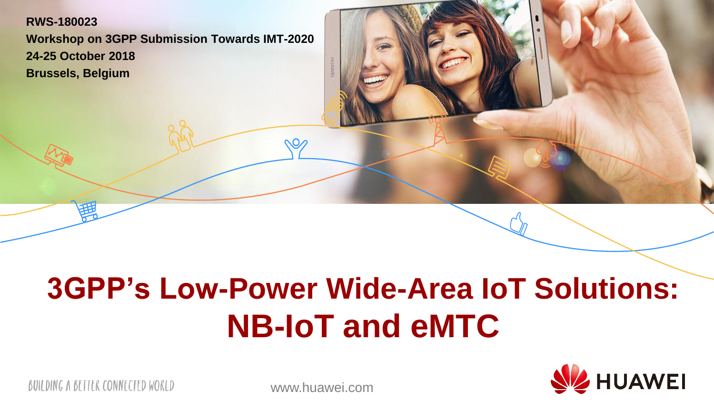#### **RWS-180023 Workshop on 3GPP Submission Towards IMT-2020 24-25 October 2018 Brussels, Belgium**

## **3GPP's Low-Power Wide-Area IoT Solutions: NB-IoT and eMTC**



BUILDING A BETTER CONNECTED WORLD

www.huawei.com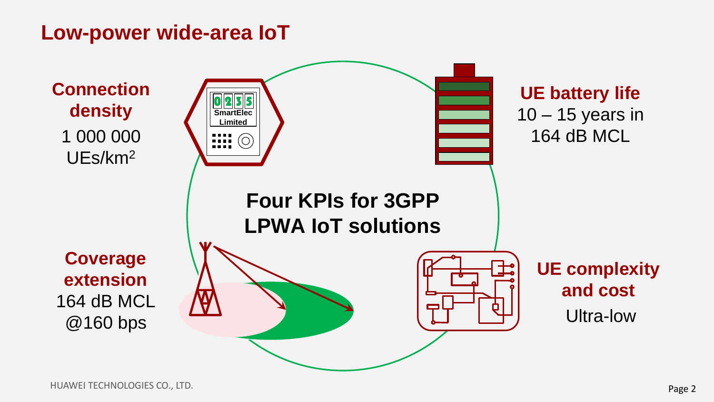#### **Low-power wide-area IoT**

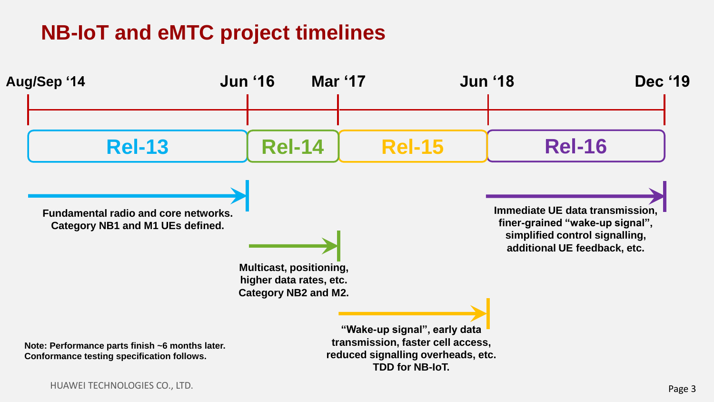## **NB-IoT and eMTC project timelines**

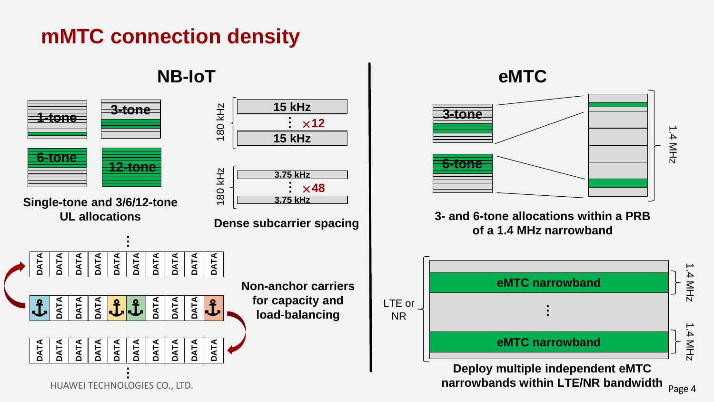## **mMTC connection density**

#### **NB-IoT eMTC**



Page 4

1.4 MHz

1.4 MHz

1.4 MHz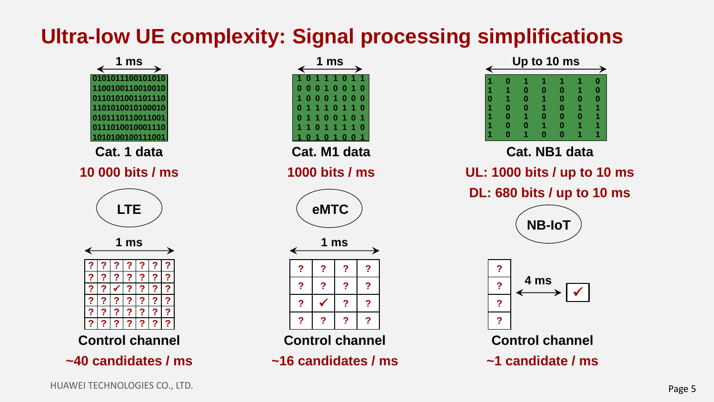## **Ultra-low UE complexity: Signal processing simplifications**

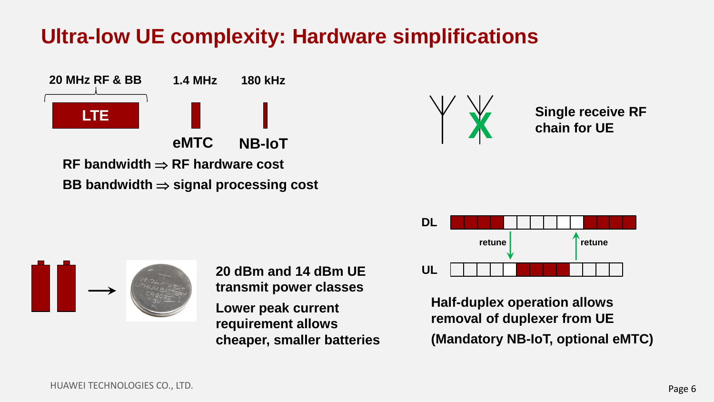#### **Ultra-low UE complexity: Hardware simplifications**





**Single receive RF chain for UE**



**Half-duplex operation allows removal of duplexer from UE (Mandatory NB-IoT, optional eMTC)**



**20 dBm and 14 dBm UE transmit power classes Lower peak current requirement allows** 

**cheaper, smaller batteries**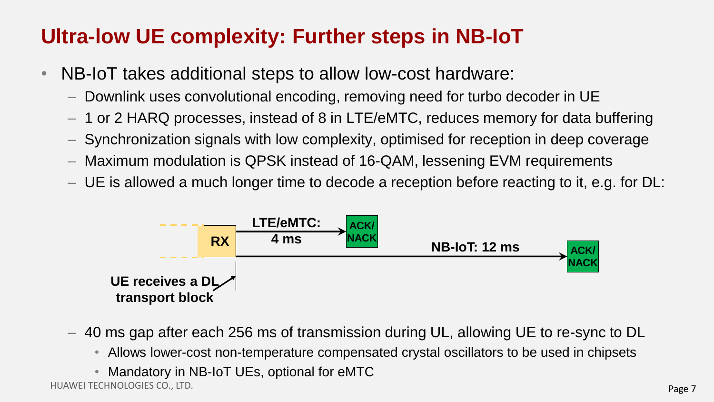## **Ultra-low UE complexity: Further steps in NB-IoT**

- NB-IoT takes additional steps to allow low-cost hardware:
	- Downlink uses convolutional encoding, removing need for turbo decoder in UE
	- 1 or 2 HARQ processes, instead of 8 in LTE/eMTC, reduces memory for data buffering
	- Synchronization signals with low complexity, optimised for reception in deep coverage
	- Maximum modulation is QPSK instead of 16-QAM, lessening EVM requirements
	- UE is allowed a much longer time to decode a reception before reacting to it, e.g. for DL:



- 40 ms gap after each 256 ms of transmission during UL, allowing UE to re-sync to DL
	- Allows lower-cost non-temperature compensated crystal oscillators to be used in chipsets
	- Mandatory in NB-IoT UEs, optional for eMTC

HUAWEI TECHNOLOGIES CO., LTD.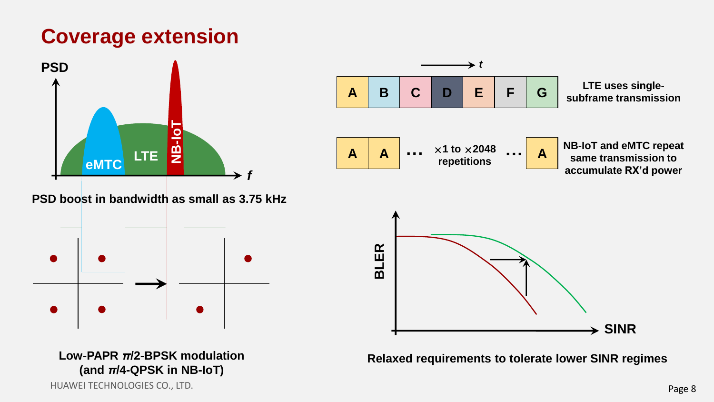### **Coverage extension**



HUAWEI TECHNOLOGIES CO., LTD.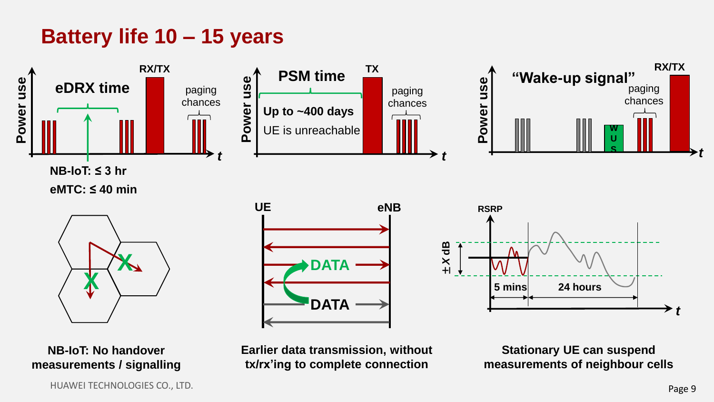### **Battery life 10 – 15 years**

![](_page_8_Figure_1.jpeg)

**NB-IoT: No handover measurements / signalling**

**Earlier data transmission, without tx/rx'ing to complete connection**

**Stationary UE can suspend measurements of neighbour cells**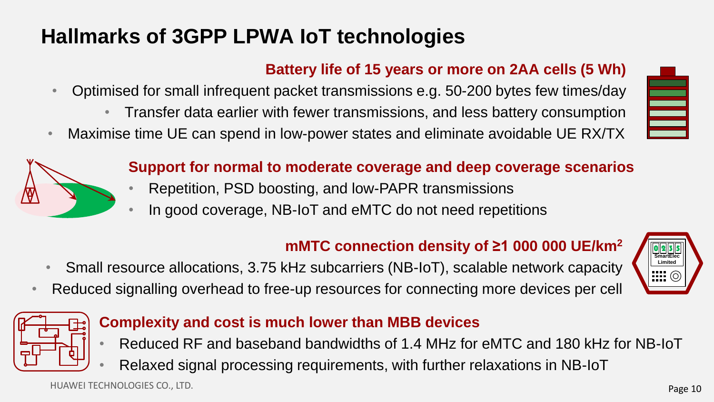## **Hallmarks of 3GPP LPWA IoT technologies**

#### **Battery life of 15 years or more on 2AA cells (5 Wh)**

- Optimised for small infrequent packet transmissions e.g. 50-200 bytes few times/day
	- Transfer data earlier with fewer transmissions, and less battery consumption
- Maximise time UE can spend in low-power states and eliminate avoidable UE RX/TX

![](_page_9_Picture_5.jpeg)

#### **Support for normal to moderate coverage and deep coverage scenarios**

- Repetition, PSD boosting, and low-PAPR transmissions
- In good coverage, NB-IoT and eMTC do not need repetitions

#### **mMTC connection density of ≥1 000 000 UE/km<sup>2</sup>**

- Small resource allocations, 3.75 kHz subcarriers (NB-IoT), scalable network capacity
- Reduced signalling overhead to free-up resources for connecting more devices per cell

![](_page_9_Picture_12.jpeg)

≣

![](_page_9_Picture_13.jpeg)

#### **Complexity and cost is much lower than MBB devices**

- Reduced RF and baseband bandwidths of 1.4 MHz for eMTC and 180 kHz for NB-IoT
- Relaxed signal processing requirements, with further relaxations in NB-IoT